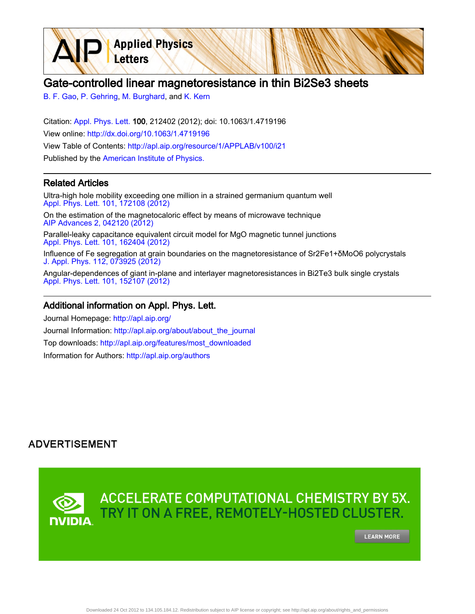

[B. F. Gao,](http://apl.aip.org/search?sortby=newestdate&q=&searchzone=2&searchtype=searchin&faceted=faceted&key=AIP_ALL&possible1=B. F. Gao&possible1zone=author&alias=&displayid=AIP&ver=pdfcov) [P. Gehring](http://apl.aip.org/search?sortby=newestdate&q=&searchzone=2&searchtype=searchin&faceted=faceted&key=AIP_ALL&possible1=P. Gehring&possible1zone=author&alias=&displayid=AIP&ver=pdfcov), [M. Burghard,](http://apl.aip.org/search?sortby=newestdate&q=&searchzone=2&searchtype=searchin&faceted=faceted&key=AIP_ALL&possible1=M. Burghard&possible1zone=author&alias=&displayid=AIP&ver=pdfcov) and [K. Kern](http://apl.aip.org/search?sortby=newestdate&q=&searchzone=2&searchtype=searchin&faceted=faceted&key=AIP_ALL&possible1=K. Kern&possible1zone=author&alias=&displayid=AIP&ver=pdfcov)

Letters

Citation: [Appl. Phys. Lett. 1](http://apl.aip.org/?ver=pdfcov)00, 212402 (2012); doi: 10.1063/1.4719196 View online: [http://dx.doi.org/10.1063/1.4719196](http://link.aip.org/link/doi/10.1063/1.4719196?ver=pdfcov) View Table of Contents: [http://apl.aip.org/resource/1/APPLAB/v100/i21](http://apl.aip.org/resource/1/APPLAB/v100/i21?ver=pdfcov) Published by the [American Institute of Physics.](http://www.aip.org/?ver=pdfcov)

**Applied Physics** 

## Related Articles

Ultra-high hole mobility exceeding one million in a strained germanium quantum well [Appl. Phys. Lett. 101, 172108 \(2012\)](http://link.aip.org/link/doi/10.1063/1.4763476?ver=pdfcov)

On the estimation of the magnetocaloric effect by means of microwave technique [AIP Advances 2, 042120 \(2012\)](http://link.aip.org/link/doi/10.1063/1.4764295?ver=pdfcov)

Parallel-leaky capacitance equivalent circuit model for MgO magnetic tunnel junctions [Appl. Phys. Lett. 101, 162404 \(2012\)](http://link.aip.org/link/doi/10.1063/1.4760279?ver=pdfcov)

Influence of Fe segregation at grain boundaries on the magnetoresistance of Sr2Fe1+δMoO6 polycrystals [J. Appl. Phys. 112, 073925 \(2012\)](http://link.aip.org/link/doi/10.1063/1.4757026?ver=pdfcov)

Angular-dependences of giant in-plane and interlayer magnetoresistances in Bi2Te3 bulk single crystals [Appl. Phys. Lett. 101, 152107 \(2012\)](http://link.aip.org/link/doi/10.1063/1.4756941?ver=pdfcov)

## Additional information on Appl. Phys. Lett.

Journal Homepage: [http://apl.aip.org/](http://apl.aip.org/?ver=pdfcov) Journal Information: [http://apl.aip.org/about/about\\_the\\_journal](http://apl.aip.org/about/about_the_journal?ver=pdfcov) Top downloads: [http://apl.aip.org/features/most\\_downloaded](http://apl.aip.org/features/most_downloaded?ver=pdfcov) Information for Authors: [http://apl.aip.org/authors](http://apl.aip.org/authors?ver=pdfcov)

## **ADVERTISEMENT**

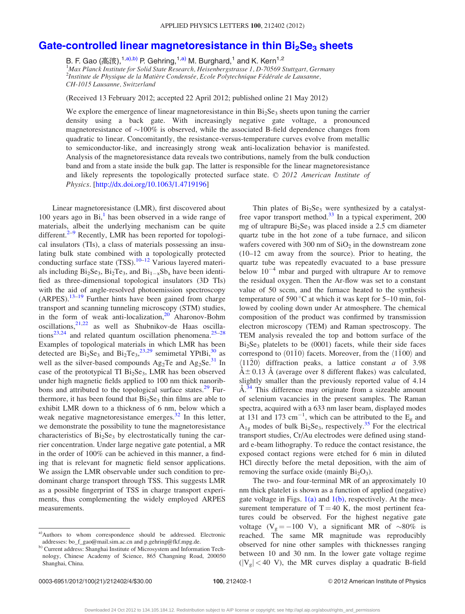## Gate-controlled linear magnetoresistance in thin  $Bi<sub>2</sub>Se<sub>3</sub>$  [sheets](http://dx.doi.org/10.1063/1.4719196)

B. F. Gao (高波),<sup>1,a),b)</sup> P. Gehring,<sup>1,a)</sup> M. Burghard,<sup>1</sup> and K. Kern<sup>1,2</sup> <sup>1</sup>Max Planck Institute for Solid State Research, Heisenbergstrasse 1, D-70569 Stuttgart, Germany <sup>2</sup>Institute de Physique de la Matière Condensée, Ecole Polytechnique Fédérale de Lausanne, CH-1015 Lausanne, Switzerland

(Received 13 February 2012; accepted 22 April 2012; published online 21 May 2012)

We explore the emergence of linear magnetoresistance in thin  $Bi<sub>2</sub>Se<sub>3</sub>$  sheets upon tuning the carrier density using a back gate. With increasingly negative gate voltage, a pronounced magnetoresistance of  $\sim$ 100% is observed, while the associated B-field dependence changes from quadratic to linear. Concomitantly, the resistance-versus-temperature curves evolve from metallic to semiconductor-like, and increasingly strong weak anti-localization behavior is manifested. Analysis of the magnetoresistance data reveals two contributions, namely from the bulk conduction band and from a state inside the bulk gap. The latter is responsible for the linear magnetoresistance and likely represents the topologically protected surface state.  $© 2012$  American Institute of Physics. [\[http://dx.doi.org/10.1063/1.4719196\]](http://dx.doi.org/10.1063/1.4719196)

Linear magnetoresistance (LMR), first discovered about [1](#page-4-0)00 years ago in  $Bi<sub>1</sub><sup>1</sup>$  has been observed in a wide range of materials, albeit the underlying mechanism can be quite different.<sup>[2–9](#page-4-0)</sup> Recently, LMR has been reported for topological insulators (TIs), a class of materials possessing an insulating bulk state combined with a topologically protected conducting surface state  $(TSS)$ .<sup>[10](#page-4-0)–[12](#page-4-0)</sup> Various layered materials including  $Bi<sub>2</sub>Se<sub>3</sub>$ ,  $Bi<sub>2</sub>Te<sub>3</sub>$ , and  $Bi<sub>1-x</sub>Sb<sub>x</sub>$  have been identified as three-dimensional topological insulators (3D TIs) with the aid of angle-resolved photoemission spectroscopy  $(ARPES).$ <sup>[13–19](#page-4-0)</sup> Further hints have been gained from charge transport and scanning tunneling microscopy (STM) studies, in the form of weak anti-localization, $20$  Aharonov-Bohm oscillations, $2^{1,22}$  as well as Shubnikov-de Haas oscilla-tions<sup>[23](#page-4-0),[24](#page-4-0)</sup> and related quantum oscillation phenomena.<sup>[25–28](#page-4-0)</sup> Examples of topological materials in which LMR has been detected are  $Bi_2Se_3$  and  $Bi_2Te_3$ ,  $i^{23,29}$  $i^{23,29}$  $i^{23,29}$  semimetal YPtBi,  $i^{30}$  $i^{30}$  $i^{30}$  as well as the silver-based compounds  $Ag_2Te$  and  $Ag_2Se^{31}$  $Ag_2Se^{31}$  $Ag_2Se^{31}$  In case of the prototypical TI  $Bi<sub>2</sub>Se<sub>3</sub>$ , LMR has been observed under high magnetic fields applied to 100 nm thick nanorib-bons and attributed to the topological surface states.<sup>[29](#page-4-0)</sup> Furthermore, it has been found that  $Bi<sub>2</sub>Se<sub>3</sub>$  thin films are able to exhibit LMR down to a thickness of 6 nm, below which a weak negative magnetoresistance emerges. $32$  In this letter, we demonstrate the possibility to tune the magnetoresistance characteristics of  $Bi<sub>2</sub>Se<sub>3</sub>$  by electrostatically tuning the carrier concentration. Under large negative gate potential, a MR in the order of 100% can be achieved in this manner, a finding that is relevant for magnetic field sensor applications. We assign the LMR observable under such condition to predominant charge transport through TSS. This suggests LMR as a possible fingerprint of TSS in charge transport experiments, thus complementing the widely employed ARPES measurements.

<sup>a)</sup>Authors to whom correspondence should be addressed. Electronic addresses: bo\_f\_gao@mail.sim.ac.cn and p.gehring@fkf.mpg.de.

Thin plates of  $Bi<sub>2</sub>Se<sub>3</sub>$  were synthesized by a catalyst-free vapor transport method.<sup>[33](#page-4-0)</sup> In a typical experiment, 200 mg of ultrapure  $Bi<sub>2</sub>Se<sub>3</sub>$  was placed inside a 2.5 cm diameter quartz tube in the hot zone of a tube furnace, and silicon wafers covered with 300 nm of  $SiO<sub>2</sub>$  in the downstream zone (10–12 cm away from the source). Prior to heating, the quartz tube was repeatedly evacuated to a base pressure below  $10^{-4}$  mbar and purged with ultrapure Ar to remove the residual oxygen. Then the Ar-flow was set to a constant value of 50 sccm, and the furnace heated to the synthesis temperature of 590 $\degree$ C at which it was kept for 5–10 min, followed by cooling down under Ar atmosphere. The chemical composition of the product was confirmed by transmission electron microscopy (TEM) and Raman spectroscopy. The TEM analysis revealed the top and bottom surface of the  $Bi<sub>2</sub>Se<sub>3</sub>$  platelets to be (0001) facets, while their side faces correspond to  $(01\overline{1}0)$  facets. Moreover, from the  $\langle 1\overline{1}00 \rangle$  and  $\langle 11\bar{2}0 \rangle$  diffraction peaks, a lattice constant a of 3.98  $\AA \pm 0.13$  Å (average over 8 different flakes) was calculated, slightly smaller than the previously reported value of 4.14 Å.<sup>[34](#page-4-0)</sup> This difference may originate from a sizeable amount of selenium vacancies in the present samples. The Raman spectra, acquired with a 633 nm laser beam, displayed modes at 131 and 173 cm<sup>-1</sup>, which can be attributed to the  $E<sub>g</sub>$  and  $A_{1g}$  modes of bulk  $Bi_2Se_3$ , respectively.<sup>[35](#page-4-0)</sup> For the electrical transport studies, Cr/Au electrodes were defined using standard e-beam lithography. To reduce the contact resistance, the exposed contact regions were etched for 6 min in diluted HCl directly before the metal deposition, with the aim of removing the surface oxide (mainly  $Bi<sub>2</sub>O<sub>3</sub>$ ).

The two- and four-terminal MR of an approximately 10 nm thick platelet is shown as a function of applied (negative) gate voltage in Figs.  $1(a)$  and  $1(b)$ , respectively. At the measurement temperature of  $T = 40$  K, the most pertinent features could be observed. For the highest negative gate voltage (V<sub>g</sub> = -100 V), a significant MR of  $\sim 80\%$  is reached. The same MR magnitude was reproducibly observed for nine other samples with thicknesses ranging between 10 and 30 nm. In the lower gate voltage regime  $(|V_{g}| < 40$  V), the MR curves display a quadratic B-field

b) Current address: Shanghai Institute of Microsystem and Information Technology, Chinese Academy of Science, 865 Changning Road, 200050 Shanghai, China.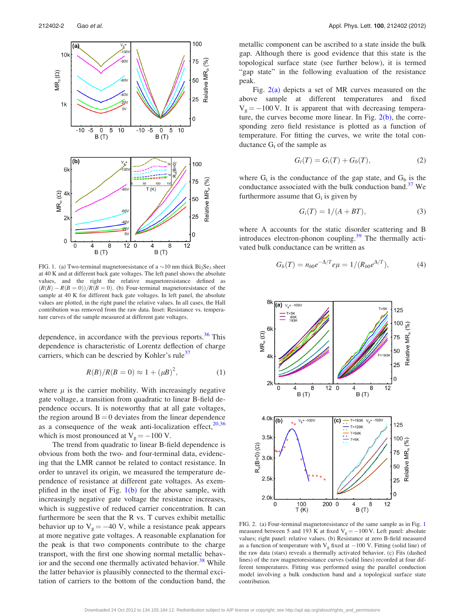<span id="page-2-0"></span>

FIG. 1. (a) Two-terminal magnetoresistance of a  $\sim$ 10 nm thick Bi<sub>2</sub>Se<sub>3</sub> sheet at 40 K and at different back gate voltages. The left panel shows the absolute values, and the right the relative magnetoresistance defined as  $(R(B) - R(B = 0))/R(B = 0)$ . (b) Four-terminal magnetoresistance of the sample at 40 K for different back gate voltages. In left panel, the absolute values are plotted, in the right panel the relative values. In all cases, the Hall contribution was removed from the raw data. Inset: Resistance vs. temperature curves of the sample measured at different gate voltages.

dependence, in accordance with the previous reports.<sup>[36](#page-4-0)</sup> This dependence is characteristic of Lorentz deflection of charge carriers, which can be descried by Kohler's rule<sup>[37](#page-4-0)</sup>

$$
R(B)/R(B = 0) \approx 1 + (\mu B)^2,
$$
 (1)

where  $\mu$  is the carrier mobility. With increasingly negative gate voltage, a transition from quadratic to linear B-field dependence occurs. It is noteworthy that at all gate voltages, the region around  $B = 0$  deviates from the linear dependence as a consequence of the weak anti-localization effect, $20,36$ which is most pronounced at  $V_g = -100$  V.

The trend from quadratic to linear B-field dependence is obvious from both the two- and four-terminal data, evidencing that the LMR cannot be related to contact resistance. In order to unravel its origin, we measured the temperature dependence of resistance at different gate voltages. As exemplified in the inset of Fig.  $1(b)$  for the above sample, with increasingly negative gate voltage the resistance increases, which is suggestive of reduced carrier concentration. It can furthermore be seen that the R vs. T curves exhibit metallic behavior up to  $V_g = -40$  V, while a resistance peak appears at more negative gate voltages. A reasonable explanation for the peak is that two components contribute to the charge transport, with the first one showing normal metallic behav-ior and the second one thermally activated behavior.<sup>[38](#page-4-0)</sup> While the latter behavior is plausibly connected to the thermal excitation of carriers to the bottom of the conduction band, the metallic component can be ascribed to a state inside the bulk gap. Although there is good evidence that this state is the topological surface state (see further below), it is termed "gap state" in the following evaluation of the resistance peak.

Fig.  $2(a)$  depicts a set of MR curves measured on the above sample at different temperatures and fixed  $V<sub>g</sub> = -100$  V. It is apparent that with decreasing temperature, the curves become more linear. In Fig.  $2(b)$ , the corresponding zero field resistance is plotted as a function of temperature. For fitting the curves, we write the total conductance  $G_t$  of the sample as

$$
G_t(T) = G_i(T) + G_b(T), \qquad (2)
$$

where  $G_i$  is the conductance of the gap state, and  $G_b$  is the conductance associated with the bulk conduction band.<sup>[37](#page-4-0)</sup> We furthermore assume that  $G_i$  is given by

$$
G_i(T) = 1/(A + BT), \qquad (3)
$$

where A accounts for the static disorder scattering and B introduces electron-phonon coupling.<sup>[39](#page-4-0)</sup> The thermally activated bulk conductance can be written as

$$
G_b(T) = n_{b0}e^{-\Delta/T}e\mu = 1/(R_{b0}e^{\Delta/T}), \qquad (4)
$$



FIG. 2. (a) Four-terminal magnetoresistance of the same sample as in Fig. 1 measured between 5 and 193 K at fixed  $V_g = -100$  V. Left panel: absolute values; right panel: relative values. (b) Resistance at zero B-field measured as a function of temperature with  $V_g$  fixed at  $-100$  V. Fitting (solid line) of the raw data (stars) reveals a thermally activated behavior. (c) Fits (dashed lines) of the raw magnetoresistance curves (solid lines) recorded at four different temperatures. Fitting was performed using the parallel conduction model involving a bulk conduction band and a topological surface state contribution.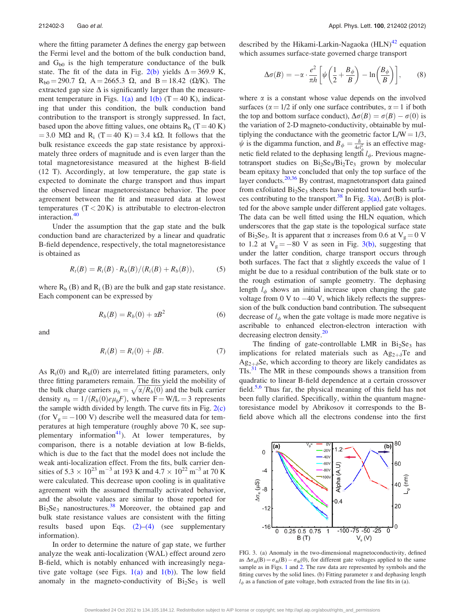where the fitting parameter  $\Delta$  defines the energy gap between the Fermi level and the bottom of the bulk conduction band, and  $G_{b0}$  is the high temperature conductance of the bulk state. The fit of the data in Fig. [2\(b\)](#page-2-0) yields  $\Delta = 369.9$  K,  $R_{b0} = 290.7 \Omega$ , A = 2665.3  $\Omega$ , and B = 18.42 ( $\Omega/K$ ). The extracted gap size  $\Delta$  is significantly larger than the measure-ment temperature in Figs. [1\(a\)](#page-2-0) and [1\(b\)](#page-2-0)  $(T = 40 \text{ K})$ , indicating that under this condition, the bulk conduction band contribution to the transport is strongly suppressed. In fact, based upon the above fitting values, one obtains  $R_b$  (T = 40 K) = 3.0 M $\Omega$  and R<sub>i</sub> (T = 40 K) = 3.4 k $\Omega$ . It follows that the bulk resistance exceeds the gap state resistance by approximately three orders of magnitude and is even larger than the total magnetoresistance measured at the highest B-field (12 T). Accordingly, at low temperature, the gap state is expected to dominate the charge transport and thus impart the observed linear magnetoresistance behavior. The poor agreement between the fit and measured data at lowest temperatures  $(T < 20 K)$  is attributable to electron-electron interaction.<sup>[40](#page-4-0)</sup>

Under the assumption that the gap state and the bulk conduction band are characterized by a linear and quadratic B-field dependence, respectively, the total magnetoresistance is obtained as

$$
R_t(B) = R_t(B) \cdot R_b(B)/(R_t(B) + R_b(B)), \qquad (5)
$$

where  $R_b$  (B) and  $R_i$  (B) are the bulk and gap state resistance. Each component can be expressed by

$$
R_b(B) = R_b(0) + \alpha B^2 \tag{6}
$$

and

$$
R_i(B) = R_i(0) + \beta B. \tag{7}
$$

As  $R_i(0)$  and  $R_b(0)$  are interrelated fitting parameters, only three fitting parameters remain. The fits yield the mobility of the bulk charge carriers  $\mu_b = \sqrt{\alpha/R_b(0)}$  and the bulk carrier density  $n_b = 1/(R_b(0)e\mu_bF)$ , where  $F = W/L = 3$  represents the sample width divided by length. The curve fits in Fig.  $2(c)$ (for  $V_g = -100$  V) describe well the measured data for temperatures at high temperature (roughly above 70 K, see supplementary information<sup>41</sup>). At lower temperatures, by comparison, there is a notable deviation at low B-fields, which is due to the fact that the model does not include the weak anti-localization effect. From the fits, bulk carrier densities of  $5.3 \times 10^{23}$  m<sup>-3</sup> at 193 K and  $4.7 \times 10^{22}$  m<sup>-3</sup> at 70 K were calculated. This decrease upon cooling is in qualitative agreement with the assumed thermally activated behavior, and the absolute values are similar to those reported for  $Bi<sub>2</sub>Se<sub>3</sub>$  nanostructures.<sup>[38](#page-4-0)</sup> Moreover, the obtained gap and bulk state resistance values are consistent with the fitting results based upon Eqs.  $(2)$ – $(4)$  (see supplementary information).

In order to determine the nature of gap state, we further analyze the weak anti-localization (WAL) effect around zero B-field, which is notably enhanced with increasingly negative gate voltage (see Figs.  $1(a)$  and  $1(b)$ ). The low field anomaly in the magneto-conductivity of  $Bi<sub>2</sub>Se<sub>3</sub>$  is well described by the Hikami-Larkin-Nagaoka  $(HLN)^{42}$  $(HLN)^{42}$  $(HLN)^{42}$  equation which assumes surface-state governed charge transport

$$
\Delta \sigma(B) = -\alpha \cdot \frac{e^2}{\pi h} \left[ \psi \left( \frac{1}{2} + \frac{B_\phi}{B} \right) - \ln \left( \frac{B_\phi}{B} \right) \right],\tag{8}
$$

where  $\alpha$  is a constant whose value depends on the involved surfaces ( $\alpha = 1/2$  if only one surface contributes,  $\alpha = 1$  if both the top and bottom surface conduct),  $\Delta \sigma(B) = \sigma(B) - \sigma(0)$  is the variation of 2-D magneto-conductivity, obtainable by multiplying the conductance with the geometric factor  $L/W = 1/3$ ,  $\psi$  is the digamma function, and  $B_{\phi} = \frac{\hbar}{4e l_{\phi}^2}$  is an effective magnetic field related to the dephasing length  $l_{\phi}$ . Previous magnetotransport studies on Bi<sub>2</sub>Se<sub>3</sub>/Bi<sub>2</sub>Te<sub>3</sub> grown by molecular beam epitaxy have concluded that only the top surface of the layer conducts. $20,36$  By contrast, magnetotransport data gained from exfoliated  $Bi<sub>2</sub>Se<sub>3</sub>$  sheets have pointed toward both surfaces contributing to the transport.<sup>38</sup> In Fig. 3(a),  $\Delta \sigma(B)$  is plotted for the above sample under different applied gate voltages. The data can be well fitted using the HLN equation, which underscores that the gap state is the topological surface state of Bi<sub>2</sub>Se<sub>3</sub>. It is apparent that  $\alpha$  increases from 0.6 at  $V_g = 0$  V to 1.2 at  $V_g = -80$  V as seen in Fig. 3(b), suggesting that under the latter condition, charge transport occurs through both surfaces. The fact that  $\alpha$  slightly exceeds the value of 1 might be due to a residual contribution of the bulk state or to the rough estimation of sample geometry. The dephasing length  $l_{\phi}$  shows an initial increase upon changing the gate voltage from  $0 \text{ V}$  to  $-40 \text{ V}$ , which likely reflects the suppression of the bulk conduction band contribution. The subsequent decrease of  $l_{\phi}$  when the gate voltage is made more negative is ascribable to enhanced electron-electron interaction with decreasing electron density.<sup>20</sup>

The finding of gate-controllable LMR in  $Bi<sub>2</sub>Se<sub>3</sub>$  has implications for related materials such as  $Ag_{2+\delta}Te$  and  $Ag_{2+\delta}$ Se, which according to theory are likely candidates as TIs.<sup>[31](#page-4-0)</sup> The MR in these compounds shows a transition from quadratic to linear B-field dependence at a certain crossover field. $5,6$  $5,6$  $5,6$  Thus far, the physical meaning of this field has not been fully clarified. Specifically, within the quantum magnetoresistance model by Abrikosov it corresponds to the Bfield above which all the electrons condense into the first



FIG. 3. (a) Anomaly in the two-dimensional magnetoconductivity, defined as  $\Delta \sigma_{4t}(B) = \sigma_{4t}(B) - \sigma_{4t}(0)$ , for different gate voltages applied to the same sample as in Figs. [1](#page-2-0) and [2.](#page-2-0) The raw data are represented by symbols and the fitting curves by the solid lines. (b) Fitting parameter  $\alpha$  and dephasing length  $l_{\phi}$  as a function of gate voltage, both extracted from the line fits in (a).